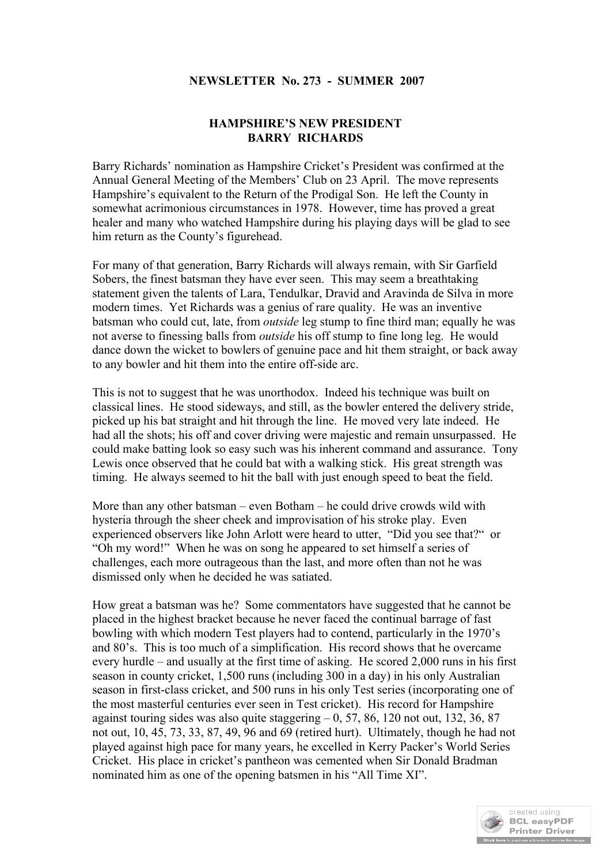## **NEWSLETTER No. 273 - SUMMER 2007**

## **HAMPSHIRE'S NEW PRESIDENT BARRY RICHARDS**

Barry Richards' nomination as Hampshire Cricket's President was confirmed at the Annual General Meeting of the Members' Club on 23 April. The move represents Hampshire's equivalent to the Return of the Prodigal Son. He left the County in somewhat acrimonious circumstances in 1978. However, time has proved a great healer and many who watched Hampshire during his playing days will be glad to see him return as the County's figurehead.

For many of that generation, Barry Richards will always remain, with Sir Garfield Sobers, the finest batsman they have ever seen. This may seem a breathtaking statement given the talents of Lara, Tendulkar, Dravid and Aravinda de Silva in more modern times. Yet Richards was a genius of rare quality. He was an inventive batsman who could cut, late, from *outside* leg stump to fine third man; equally he was not averse to finessing balls from *outside* his off stump to fine long leg. He would dance down the wicket to bowlers of genuine pace and hit them straight, or back away to any bowler and hit them into the entire off-side arc.

This is not to suggest that he was unorthodox. Indeed his technique was built on classical lines. He stood sideways, and still, as the bowler entered the delivery stride, picked up his bat straight and hit through the line. He moved very late indeed. He had all the shots; his off and cover driving were majestic and remain unsurpassed. He could make batting look so easy such was his inherent command and assurance. Tony Lewis once observed that he could bat with a walking stick. His great strength was timing. He always seemed to hit the ball with just enough speed to beat the field.

More than any other batsman – even Botham – he could drive crowds wild with hysteria through the sheer cheek and improvisation of his stroke play. Even experienced observers like John Arlott were heard to utter, "Did you see that?" or "Oh my word!" When he was on song he appeared to set himself a series of challenges, each more outrageous than the last, and more often than not he was dismissed only when he decided he was satiated.

How great a batsman was he? Some commentators have suggested that he cannot be placed in the highest bracket because he never faced the continual barrage of fast bowling with which modern Test players had to contend, particularly in the 1970's and 80's. This is too much of a simplification. His record shows that he overcame every hurdle – and usually at the first time of asking. He scored 2,000 runs in his first season in county cricket, 1,500 runs (including 300 in a day) in his only Australian season in first-class cricket, and 500 runs in his only Test series (incorporating one of the most masterful centuries ever seen in Test cricket). His record for Hampshire against touring sides was also quite staggering  $-0$ , 57, 86, 120 not out, 132, 36, 87 not out, 10, 45, 73, 33, 87, 49, 96 and 69 (retired hurt). Ultimately, though he had not played against high pace for many years, he excelled in Kerry Packer's World Series Cricket. His place in cricket's pantheon was cemented when Sir Donald Bradman nominated him as one of the opening batsmen in his "All Time XI".

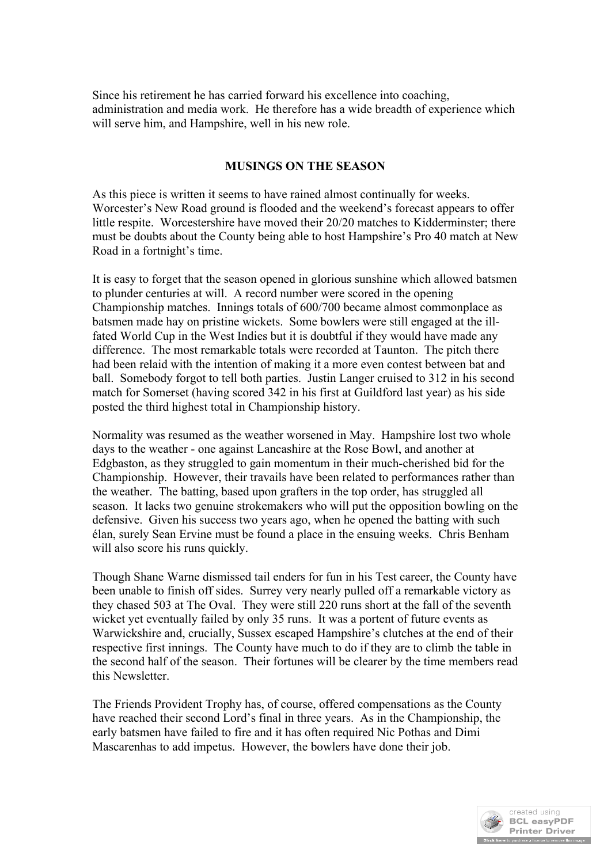Since his retirement he has carried forward his excellence into coaching, administration and media work. He therefore has a wide breadth of experience which will serve him, and Hampshire, well in his new role.

## **MUSINGS ON THE SEASON**

As this piece is written it seems to have rained almost continually for weeks. Worcester's New Road ground is flooded and the weekend's forecast appears to offer little respite. Worcestershire have moved their 20/20 matches to Kidderminster; there must be doubts about the County being able to host Hampshire's Pro 40 match at New Road in a fortnight's time.

It is easy to forget that the season opened in glorious sunshine which allowed batsmen to plunder centuries at will. A record number were scored in the opening Championship matches. Innings totals of 600/700 became almost commonplace as batsmen made hay on pristine wickets. Some bowlers were still engaged at the illfated World Cup in the West Indies but it is doubtful if they would have made any difference. The most remarkable totals were recorded at Taunton. The pitch there had been relaid with the intention of making it a more even contest between bat and ball. Somebody forgot to tell both parties. Justin Langer cruised to 312 in his second match for Somerset (having scored 342 in his first at Guildford last year) as his side posted the third highest total in Championship history.

Normality was resumed as the weather worsened in May. Hampshire lost two whole days to the weather - one against Lancashire at the Rose Bowl, and another at Edgbaston, as they struggled to gain momentum in their much-cherished bid for the Championship. However, their travails have been related to performances rather than the weather. The batting, based upon grafters in the top order, has struggled all season. It lacks two genuine strokemakers who will put the opposition bowling on the defensive. Given his success two years ago, when he opened the batting with such élan, surely Sean Ervine must be found a place in the ensuing weeks. Chris Benham will also score his runs quickly.

Though Shane Warne dismissed tail enders for fun in his Test career, the County have been unable to finish off sides. Surrey very nearly pulled off a remarkable victory as they chased 503 at The Oval. They were still 220 runs short at the fall of the seventh wicket yet eventually failed by only 35 runs. It was a portent of future events as Warwickshire and, crucially, Sussex escaped Hampshire's clutches at the end of their respective first innings. The County have much to do if they are to climb the table in the second half of the season. Their fortunes will be clearer by the time members read this Newsletter.

The Friends Provident Trophy has, of course, offered compensations as the County have reached their second Lord's final in three years. As in the Championship, the early batsmen have failed to fire and it has often required Nic Pothas and Dimi Mascarenhas to add impetus. However, the bowlers have done their job.

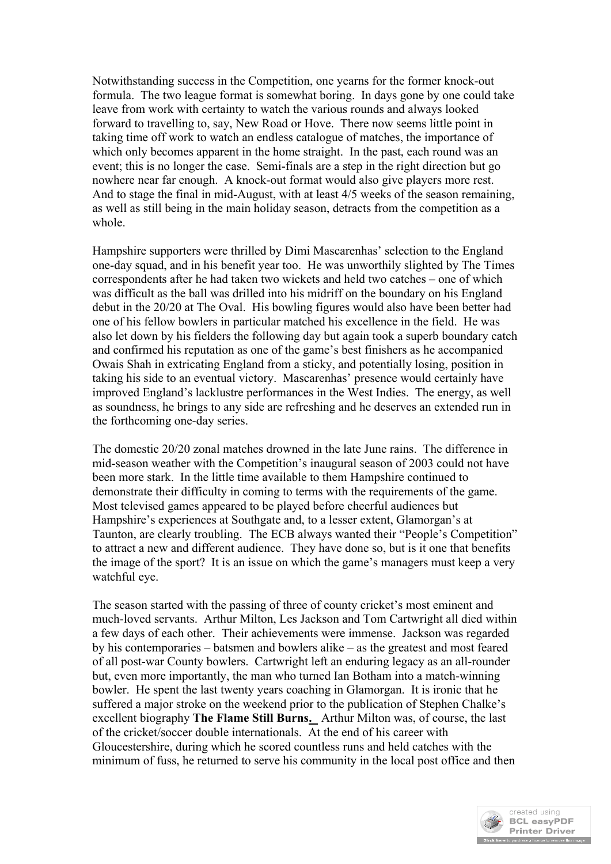Notwithstanding success in the Competition, one yearns for the former knock-out formula. The two league format is somewhat boring. In days gone by one could take leave from work with certainty to watch the various rounds and always looked forward to travelling to, say, New Road or Hove. There now seems little point in taking time off work to watch an endless catalogue of matches, the importance of which only becomes apparent in the home straight. In the past, each round was an event; this is no longer the case. Semi-finals are a step in the right direction but go nowhere near far enough. A knock-out format would also give players more rest. And to stage the final in mid-August, with at least 4/5 weeks of the season remaining, as well as still being in the main holiday season, detracts from the competition as a whole.

Hampshire supporters were thrilled by Dimi Mascarenhas' selection to the England one-day squad, and in his benefit year too. He was unworthily slighted by The Times correspondents after he had taken two wickets and held two catches – one of which was difficult as the ball was drilled into his midriff on the boundary on his England debut in the 20/20 at The Oval. His bowling figures would also have been better had one of his fellow bowlers in particular matched his excellence in the field. He was also let down by his fielders the following day but again took a superb boundary catch and confirmed his reputation as one of the game's best finishers as he accompanied Owais Shah in extricating England from a sticky, and potentially losing, position in taking his side to an eventual victory. Mascarenhas' presence would certainly have improved England's lacklustre performances in the West Indies. The energy, as well as soundness, he brings to any side are refreshing and he deserves an extended run in the forthcoming one-day series.

The domestic 20/20 zonal matches drowned in the late June rains. The difference in mid-season weather with the Competition's inaugural season of 2003 could not have been more stark. In the little time available to them Hampshire continued to demonstrate their difficulty in coming to terms with the requirements of the game. Most televised games appeared to be played before cheerful audiences but Hampshire's experiences at Southgate and, to a lesser extent, Glamorgan's at Taunton, are clearly troubling. The ECB always wanted their "People's Competition" to attract a new and different audience. They have done so, but is it one that benefits the image of the sport? It is an issue on which the game's managers must keep a very watchful eye.

The season started with the passing of three of county cricket's most eminent and much-loved servants. Arthur Milton, Les Jackson and Tom Cartwright all died within a few days of each other. Their achievements were immense. Jackson was regarded by his contemporaries – batsmen and bowlers alike – as the greatest and most feared of all post-war County bowlers. Cartwright left an enduring legacy as an all-rounder but, even more importantly, the man who turned Ian Botham into a match-winning bowler. He spent the last twenty years coaching in Glamorgan. It is ironic that he suffered a major stroke on the weekend prior to the publication of Stephen Chalke's excellent biography **The Flame Still Burns.** Arthur Milton was, of course, the last of the cricket/soccer double internationals. At the end of his career with Gloucestershire, during which he scored countless runs and held catches with the minimum of fuss, he returned to serve his community in the local post office and then

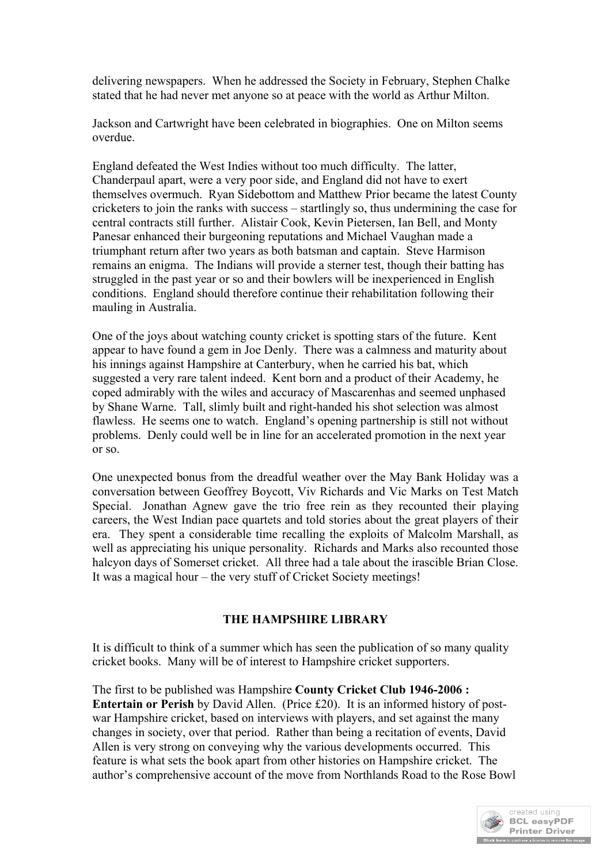delivering newspapers. When he addressed the Society in February, Stephen Chalke stated that he had never met anyone so at peace with the world as Arthur Milton.

Jackson and Cartwright have been celebrated in biographies. One on Milton seems overdue.

England defeated the West Indies without too much difficulty. The latter, Chanderpaul apart, were a very poor side, and England did not have to exert themselves overmuch. Ryan Sidebottom and Matthew Prior became the latest County cricketers to join the ranks with success – startlingly so, thus undermining the case for central contracts still further. Alistair Cook, Kevin Pietersen, Ian Bell, and Monty Panesar enhanced their burgeoning reputations and Michael Vaughan made a triumphant return after two years as both batsman and captain. Steve Harmison remains an enigma. The Indians will provide a sterner test, though their batting has struggled in the past year or so and their bowlers will be inexperienced in English conditions. England should therefore continue their rehabilitation following their mauling in Australia.

One of the joys about watching county cricket is spotting stars of the future. Kent appear to have found a gem in Joe Denly. There was a calmness and maturity about his innings against Hampshire at Canterbury, when he carried his bat, which suggested a very rare talent indeed. Kent born and a product of their Academy, he coped admirably with the wiles and accuracy of Mascarenhas and seemed unphased by Shane Warne. Tall, slimly built and right-handed his shot selection was almost flawless. He seems one to watch. England's opening partnership is still not without problems. Denly could well be in line for an accelerated promotion in the next year or so.

One unexpected bonus from the dreadful weather over the May Bank Holiday was a conversation between Geoffrey Boycott, Viv Richards and Vic Marks on Test Match Special. Jonathan Agnew gave the trio free rein as they recounted their playing careers, the West Indian pace quartets and told stories about the great players of their era. They spent a considerable time recalling the exploits of Malcolm Marshall, as well as appreciating his unique personality. Richards and Marks also recounted those halcyon days of Somerset cricket. All three had a tale about the irascible Brian Close. It was a magical hour – the very stuff of Cricket Society meetings!

## **THE HAMPSHIRE LIBRARY**

It is difficult to think of a summer which has seen the publication of so many quality cricket books. Many will be of interest to Hampshire cricket supporters.

The first to be published was Hampshire **County Cricket Club 1946-2006 : Entertain or Perish** by David Allen. (Price £20). It is an informed history of postwar Hampshire cricket, based on interviews with players, and set against the many changes in society, over that period. Rather than being a recitation of events, David Allen is very strong on conveying why the various developments occurred. This feature is what sets the book apart from other histories on Hampshire cricket. The author's comprehensive account of the move from Northlands Road to the Rose Bowl

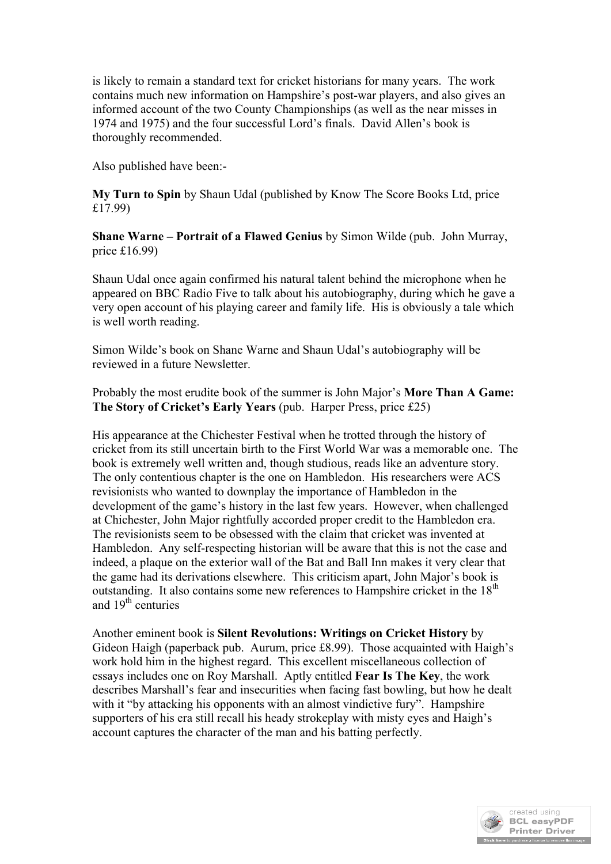is likely to remain a standard text for cricket historians for many years. The work contains much new information on Hampshire's post-war players, and also gives an informed account of the two County Championships (as well as the near misses in 1974 and 1975) and the four successful Lord's finals. David Allen's book is thoroughly recommended.

Also published have been:-

**My Turn to Spin** by Shaun Udal (published by Know The Score Books Ltd, price £17.99)

**Shane Warne – Portrait of a Flawed Genius** by Simon Wilde (pub. John Murray, price £16.99)

Shaun Udal once again confirmed his natural talent behind the microphone when he appeared on BBC Radio Five to talk about his autobiography, during which he gave a very open account of his playing career and family life. His is obviously a tale which is well worth reading.

Simon Wilde's book on Shane Warne and Shaun Udal's autobiography will be reviewed in a future Newsletter.

Probably the most erudite book of the summer is John Major's **More Than A Game: The Story of Cricket's Early Years** (pub. Harper Press, price £25)

His appearance at the Chichester Festival when he trotted through the history of cricket from its still uncertain birth to the First World War was a memorable one. The book is extremely well written and, though studious, reads like an adventure story. The only contentious chapter is the one on Hambledon. His researchers were ACS revisionists who wanted to downplay the importance of Hambledon in the development of the game's history in the last few years. However, when challenged at Chichester, John Major rightfully accorded proper credit to the Hambledon era. The revisionists seem to be obsessed with the claim that cricket was invented at Hambledon. Any self-respecting historian will be aware that this is not the case and indeed, a plaque on the exterior wall of the Bat and Ball Inn makes it very clear that the game had its derivations elsewhere. This criticism apart, John Major's book is outstanding. It also contains some new references to Hampshire cricket in the  $18<sup>th</sup>$ and  $19<sup>th</sup>$  centuries

Another eminent book is **Silent Revolutions: Writings on Cricket History** by Gideon Haigh (paperback pub. Aurum, price £8.99). Those acquainted with Haigh's work hold him in the highest regard. This excellent miscellaneous collection of essays includes one on Roy Marshall. Aptly entitled **Fear Is The Key**, the work describes Marshall's fear and insecurities when facing fast bowling, but how he dealt with it "by attacking his opponents with an almost vindictive fury". Hampshire supporters of his era still recall his heady strokeplay with misty eyes and Haigh's account captures the character of the man and his batting perfectly.